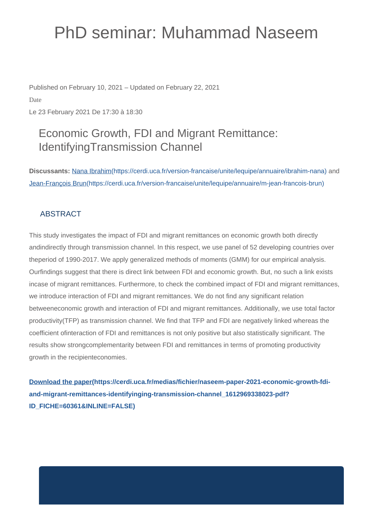## PhD seminar: Muhammad Naseem

Published on February 10, 2021 – Updated on February 22, 2021

Date

Le 23 February 2021 De 17:30 à 18:30

## Economic Growth, FDI and Migrant Remittance: IdentifyingTransmission Channel

**Discussants:** [Nana Ibrahim\(https://cerdi.uca.fr/version-francaise/unite/lequipe/annuaire/ibrahim-nana\)](https://cerdi.uca.fr/version-francaise/unite/lequipe/annuaire/ibrahim-nana) and [Jean-François Brun\(https://cerdi.uca.fr/version-francaise/unite/lequipe/annuaire/m-jean-francois-brun\)](https://cerdi.uca.fr/version-francaise/unite/lequipe/annuaire/m-jean-francois-brun)

## ABSTRACT

This study investigates the impact of FDI and migrant remittances on economic growth both directly andindirectly through transmission channel. In this respect, we use panel of 52 developing countries over theperiod of 1990-2017. We apply generalized methods of moments (GMM) for our empirical analysis. Ourfindings suggest that there is direct link between FDI and economic growth. But, no such a link exists incase of migrant remittances. Furthermore, to check the combined impact of FDI and migrant remittances, we introduce interaction of FDI and migrant remittances. We do not find any significant relation betweeneconomic growth and interaction of FDI and migrant remittances. Additionally, we use total factor productivity(TFP) as transmission channel. We find that TFP and FDI are negatively linked whereas the coefficient ofinteraction of FDI and remittances is not only positive but also statistically significant. The results show strongcomplementarity between FDI and remittances in terms of promoting productivity growth in the recipienteconomies.

**[Download the paper\(https://cerdi.uca.fr/medias/fichier/naseem-paper-2021-economic-growth-fdi](https://cerdi.uca.fr/medias/fichier/naseem-paper-2021-economic-growth-fdi-and-migrant-remittances-identifyinging-transmission-channel_1612969338023-pdf?ID_FICHE=60361&INLINE=FALSE)[and-migrant-remittances-identifyinging-transmission-channel\\_1612969338023-pdf?](https://cerdi.uca.fr/medias/fichier/naseem-paper-2021-economic-growth-fdi-and-migrant-remittances-identifyinging-transmission-channel_1612969338023-pdf?ID_FICHE=60361&INLINE=FALSE) [ID\\_FICHE=60361&INLINE=FALSE\)](https://cerdi.uca.fr/medias/fichier/naseem-paper-2021-economic-growth-fdi-and-migrant-remittances-identifyinging-transmission-channel_1612969338023-pdf?ID_FICHE=60361&INLINE=FALSE)**